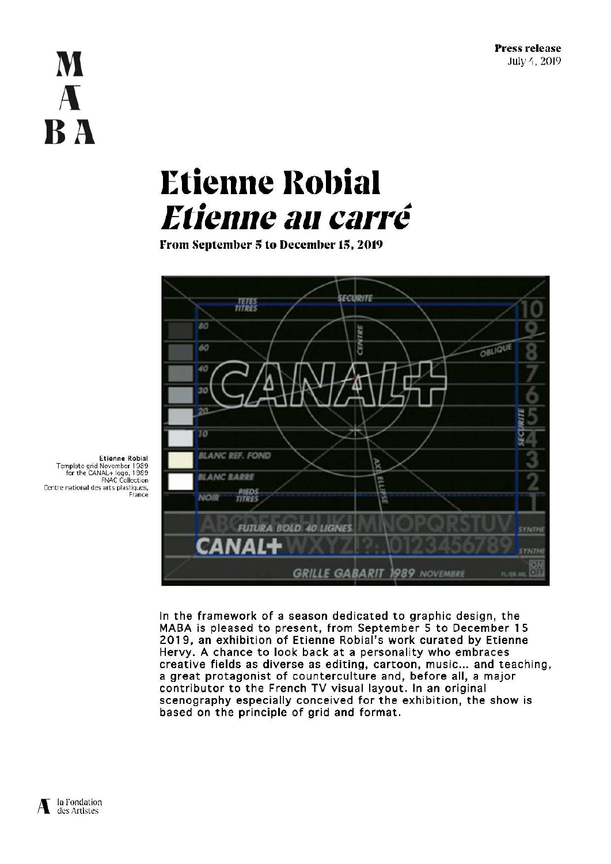# M A **BA**

# **Etienne Robial** Etienne au carré

From September 5 to December 15, 2019



Etienne Robial Template grid November 1989<br>for the CANAL+ logo, 1989<br>FNAC Collection Centre national des arts plastiques, France

> In the framework of a season dedicated to graphic design, the MABA is pleased to present, from September 5 to December 15 2019, an exhibition of Etienne Robial's work curated by Etienne Hervy. A chance to look back at a personality who embraces creative fields as diverse as editing, cartoon, music... and teaching, a great protagonist of counterculture and, before all, a major contributor to the French TV visual layout. In an original scenography especially conceived for the exhibition, the show is based on the principle of grid and format.